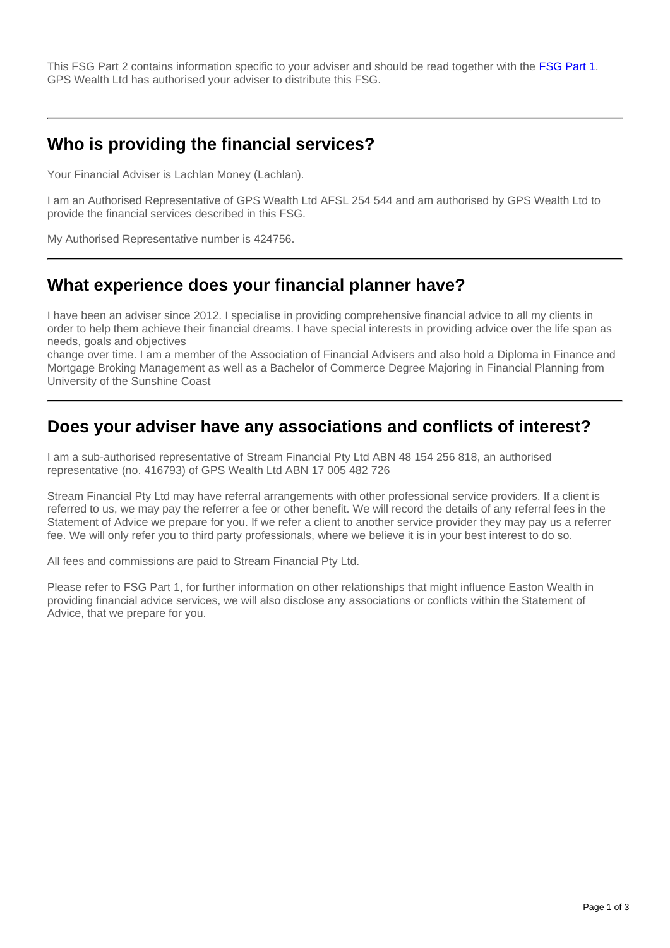This FSG Part 2 contains information specific to your adviser and should be read together with the [FSG Part 1](http://www.gpswealth.net.au/gps-test/site/GPS-FSG.pdf). GPS Wealth Ltd has authorised your adviser to distribute this FSG.

## **Who is providing the financial services?**

Your Financial Adviser is Lachlan Money (Lachlan).

I am an Authorised Representative of GPS Wealth Ltd AFSL 254 544 and am authorised by GPS Wealth Ltd to provide the financial services described in this FSG.

My Authorised Representative number is 424756.

#### **What experience does your financial planner have?**

I have been an adviser since 2012. I specialise in providing comprehensive financial advice to all my clients in order to help them achieve their financial dreams. I have special interests in providing advice over the life span as needs, goals and objectives

change over time. I am a member of the Association of Financial Advisers and also hold a Diploma in Finance and Mortgage Broking Management as well as a Bachelor of Commerce Degree Majoring in Financial Planning from University of the Sunshine Coast

### **Does your adviser have any associations and conflicts of interest?**

I am a sub-authorised representative of Stream Financial Pty Ltd ABN 48 154 256 818, an authorised representative (no. 416793) of GPS Wealth Ltd ABN 17 005 482 726

Stream Financial Pty Ltd may have referral arrangements with other professional service providers. If a client is referred to us, we may pay the referrer a fee or other benefit. We will record the details of any referral fees in the Statement of Advice we prepare for you. If we refer a client to another service provider they may pay us a referrer fee. We will only refer you to third party professionals, where we believe it is in your best interest to do so.

All fees and commissions are paid to Stream Financial Pty Ltd.

Please refer to FSG Part 1, for further information on other relationships that might influence Easton Wealth in providing financial advice services, we will also disclose any associations or conflicts within the Statement of Advice, that we prepare for you.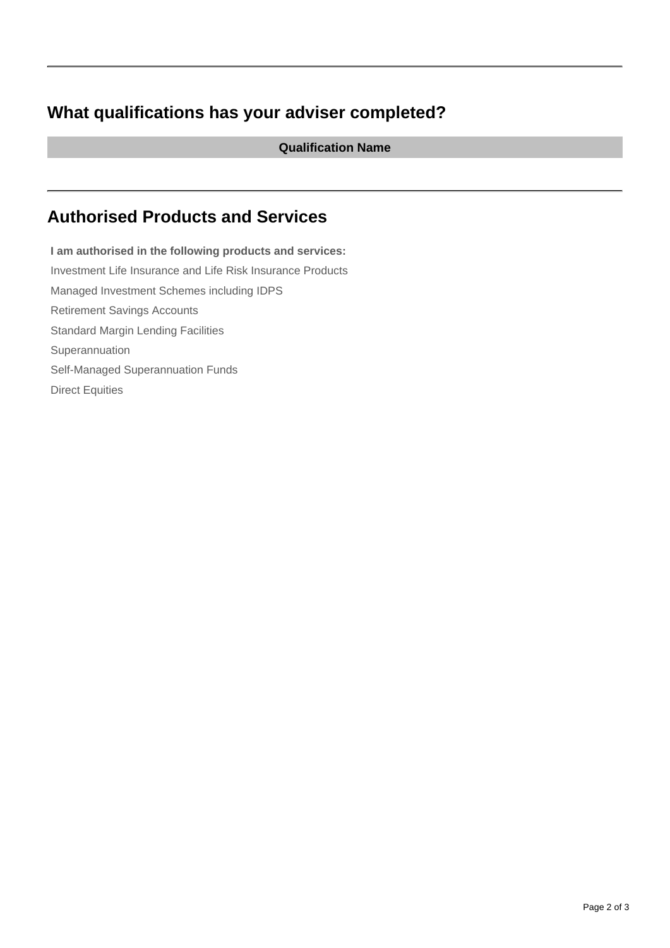# **What qualifications has your adviser completed?**

**Qualification Name**

# **Authorised Products and Services**

**I am authorised in the following products and services:** Investment Life Insurance and Life Risk Insurance Products Managed Investment Schemes including IDPS Retirement Savings Accounts Standard Margin Lending Facilities Superannuation Self-Managed Superannuation Funds Direct Equities